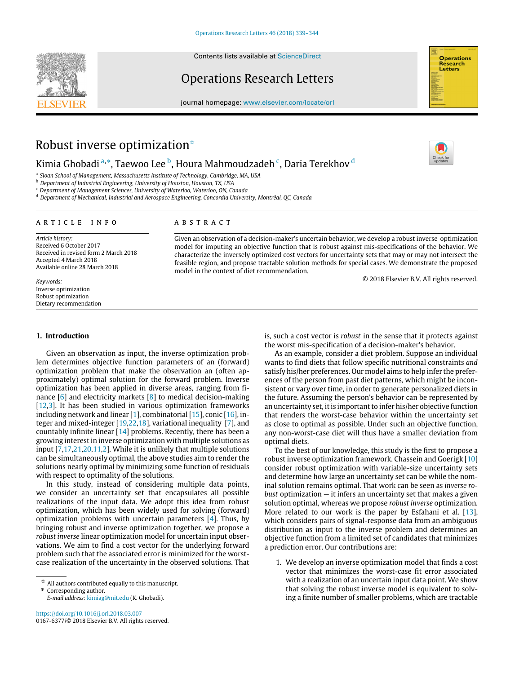Contents lists available at [ScienceDirect](http://www.elsevier.com/locate/orl)

# Operations Research Letters

journal homepage: [www.elsevier.com/locate/orl](http://www.elsevier.com/locate/orl)



# Robust inverse optimization<sup> $\star$ </sup>

# Kimia Ghobadi <sup>[a,](#page-0-1)</sup>[\\*](#page-0-2), Taewoo Lee <sup>[b](#page-0-3)</sup>, Houra Mahmoudzadeh <sup>[c](#page-0-4)</sup>, Daria Terekhov <sup>[d](#page-0-5)</sup>

<span id="page-0-1"></span>a *Sloan School of Management, Massachusetts Institute of Technology, Cambridge, MA, USA*

<span id="page-0-3"></span><sup>b</sup> *Department of Industrial Engineering, University of Houston, Houston, TX, USA*

<span id="page-0-4"></span><sup>c</sup> *Department of Management Sciences, University of Waterloo, Waterloo, ON, Canada*

<span id="page-0-5"></span><sup>d</sup> *Department of Mechanical, Industrial and Aerospace Engineering, Concordia University, Montréal, QC, Canada*

### ARTICLE INFO

# a b s t r a c t

*Article history:* Received 6 October 2017 Received in revised form 2 March 2018 Accepted 4 March 2018 Available online 28 March 2018

*Keywords:* Inverse optimization Robust optimization Dietary recommendation

# model for imputing an objective function that is robust against mis-specifications of the behavior. We characterize the inversely optimized cost vectors for uncertainty sets that may or may not intersect the feasible region, and propose tractable solution methods for special cases. We demonstrate the proposed model in the context of diet recommendation.

Given an observation of a decision-maker's uncertain behavior, we develop a robust inverse optimization

© 2018 Elsevier B.V. All rights reserved.

### <span id="page-0-6"></span>**1. Introduction**

Given an observation as input, the inverse optimization problem determines objective function parameters of an (forward) optimization problem that make the observation an (often approximately) optimal solution for the forward problem. Inverse optimization has been applied in diverse areas, ranging from finance [\[6\]](#page-4-0) and electricity markets [\[8\]](#page-4-1) to medical decision-making [\[12](#page-5-0)[,3\]](#page-4-2). It has been studied in various optimization frameworks including network and linear [\[1\]](#page-4-3), combinatorial [\[15\]](#page-5-1), conic [\[16\]](#page-5-2), integer and mixed-integer [\[19](#page-5-3)[,22,](#page-5-4)[18\]](#page-5-5), variational inequality [\[7\]](#page-4-4), and countably infinite linear [\[14\]](#page-5-6) problems. Recently, there has been a growing interest in inverse optimization with multiple solutions as input [\[7,](#page-4-4)[17](#page-5-7)[,21,](#page-5-8)[20,](#page-5-9)[11](#page-5-10)[,2\]](#page-4-5). While it is unlikely that multiple solutions can be simultaneously optimal, the above studies aim to render the solutions nearly optimal by minimizing some function of residuals with respect to optimality of the solutions.

In this study, instead of considering multiple data points, we consider an uncertainty set that encapsulates all possible realizations of the input data. We adopt this idea from robust optimization, which has been widely used for solving (forward) optimization problems with uncertain parameters [\[4\]](#page-4-6). Thus, by bringing robust and inverse optimization together, we propose a *robust inverse* linear optimization model for uncertain input observations. We aim to find a cost vector for the underlying forward problem such that the associated error is minimized for the worstcase realization of the uncertainty in the observed solutions. That is, such a cost vector is *robust* in the sense that it protects against the worst mis-specification of a decision-maker's behavior.

As an example, consider a diet problem. Suppose an individual wants to find diets that follow specific nutritional constraints *and* satisfy his/her preferences. Our model aims to help infer the preferences of the person from past diet patterns, which might be inconsistent or vary over time, in order to generate personalized diets in the future. Assuming the person's behavior can be represented by an uncertainty set, it is important to infer his/her objective function that renders the worst-case behavior within the uncertainty set as close to optimal as possible. Under such an objective function, any non-worst-case diet will thus have a smaller deviation from optimal diets.

To the best of our knowledge, this study is the first to propose a robust inverse optimization framework. Chassein and Goerigk [\[10\]](#page-5-11) consider robust optimization with variable-size uncertainty sets and determine how large an uncertainty set can be while the nominal solution remains optimal. That work can be seen as *inverse robust* optimization — it infers an uncertainty set that makes a given solution optimal, whereas we propose *robust inverse* optimization. More related to our work is the paper by Esfahani et al. [\[13\]](#page-5-12), which considers pairs of signal-response data from an ambiguous distribution as input to the inverse problem and determines an objective function from a limited set of candidates that minimizes a prediction error. Our contributions are:

1. We develop an inverse optimization model that finds a cost vector that minimizes the worst-case fit error associated with a realization of an uncertain input data point. We show that solving the robust inverse model is equivalent to solving a finite number of smaller problems, which are tractable

<span id="page-0-0"></span> $\stackrel{\leftrightarrow}{\rtimes}$  All authors contributed equally to this manuscript.

<span id="page-0-2"></span><sup>\*</sup> Corresponding author.

*E-mail address:* [kimiag@mit.edu](mailto:kimiag@mit.edu) (K. Ghobadi).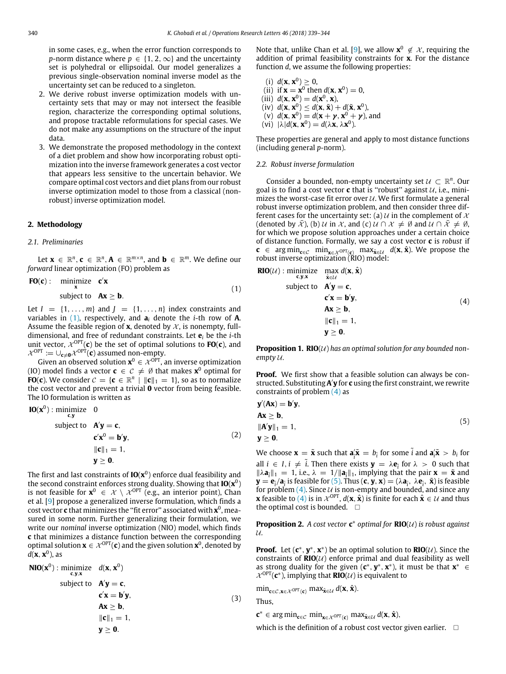in some cases, e.g., when the error function corresponds to *p*-norm distance where  $p \in \{1, 2, \infty\}$  and the uncertainty set is polyhedral or ellipsoidal. Our model generalizes a previous single-observation nominal inverse model as the uncertainty set can be reduced to a singleton.

- 2. We derive robust inverse optimization models with uncertainty sets that may or may not intersect the feasible region, characterize the corresponding optimal solutions, and propose tractable reformulations for special cases. We do not make any assumptions on the structure of the input data.
- 3. We demonstrate the proposed methodology in the context of a diet problem and show how incorporating robust optimization into the inverse framework generates a cost vector that appears less sensitive to the uncertain behavior. We compare optimal cost vectors and diet plans from our robust inverse optimization model to those from a classical (nonrobust) inverse optimization model.

## **2. Methodology**

#### *2.1. Preliminaries*

Let  $\mathbf{x} \in \mathbb{R}^n$ ,  $\mathbf{c} \in \mathbb{R}^n$ ,  $\mathbf{A} \in \mathbb{R}^{m \times n}$ , and  $\mathbf{b} \in \mathbb{R}^m$ . We define our *forward* linear optimization (FO) problem as

<span id="page-1-0"></span>**FO(c)**: minimize 
$$
c'x
$$
  
subject to  $Ax > b$ . (1)

Let  $I = \{1, \ldots, m\}$  and  $J = \{1, \ldots, n\}$  index constraints and variables in  $(1)$ , respectively, and  $a_i$  denote the *i*-th row of **A**. Assume the feasible region of **x**, denoted by  $\mathcal{X}$ , is nonempty, fulldimensional, and free of redundant constraints. Let **e***<sup>i</sup>* be the *i*-th unit vector,  $\mathcal{X}^{OPT}(\mathbf{c})$  be the set of optimal solutions to  $FO(\mathbf{c})$ , and  $\mathcal{X}^{\text{OPT}} \coloneqq \cup_{\mathbf{c} \neq \mathbf{0}} \mathcal{X}^{\text{OPT}}(\mathbf{c})$  assumed non-empty.

Given an observed solution  $\mathbf{x}^0 \in \mathcal{X}^{OPT}$ , an inverse optimization (IO) model finds a vector  $\mathbf{c} \in \mathcal{C} \neq \emptyset$  that makes  $\mathbf{x}^0$  optimal for **FO**(**c**). We consider  $C = \{c \in \mathbb{R}^n \mid ||c||_1 = 1\}$ , so as to normalize the cost vector and prevent a trivial **0** vector from being feasible. The IO formulation is written as

**IO**(
$$
x^0
$$
) : minimize 0  
subject to  $A'y = c$ ,  
 $c'x^0 = b'y$ ,  
 $||c||_1 = 1$ ,  
 $y \ge 0$ . (2)

The first and last constraints of **IO**(**x** 0 ) enforce dual feasibility and the second constraint enforces strong duality. Showing that **IO**(**x** 0 ) is not feasible for  $\mathbf{x}^0$   $\;\in\; \mathcal{X} \,\setminus\, \mathcal{X}^{\text{OPT}}$  (e.g., an interior point), Chan et al. [\[9\]](#page-5-13) propose a generalized inverse formulation, which finds a cost vector **c** that minimizes the ''fit error'' associated with **x** 0 , measured in some norm. Further generalizing their formulation, we write our *nominal* inverse optimization (NIO) model, which finds **c** that minimizes a distance function between the corresponding optimal solution  $\mathbf{x} \in \mathcal{X}^{\text{OPT}}(\mathbf{c})$  and the given solution  $\mathbf{x}^0$ , denoted by *d*(**x**, **x** 0 ), as

NIO(
$$
\mathbf{x}^0
$$
) : minimize  $d(\mathbf{x}, \mathbf{x}^0)$   
\nsubject to  $\mathbf{A}'\mathbf{y} = \mathbf{c}$ ,  
\n $\mathbf{c}'\mathbf{x} = \mathbf{b}'\mathbf{y}$ ,  
\n $\mathbf{A}\mathbf{x} \ge \mathbf{b}$ ,  
\n $\|\mathbf{c}\|_1 = 1$ ,  
\n $\mathbf{y} \ge \mathbf{0}$ .  
\n(3)

Note that, unlike Chan et al. [\[9\]](#page-5-13), we allow  $\mathbf{x}^0 \notin \mathcal{X}$ , requiring the addition of primal feasibility constraints for **x**. For the distance function *d*, we assume the following properties:

(i) 
$$
d(\mathbf{x}, \mathbf{x}^0) \ge 0
$$
,  
\n(ii) if  $\mathbf{x} = \mathbf{x}^0$  then  $d(\mathbf{x}, \mathbf{x}^0) = 0$ ,  
\n(iii)  $d(\mathbf{x}, \mathbf{x}^0) = d(\mathbf{x}^0, \mathbf{x})$ ,  
\n(iv)  $d(\mathbf{x}, \mathbf{x}^0) \le d(\mathbf{x}, \tilde{\mathbf{x}}) + d(\tilde{\mathbf{x}}, \mathbf{x}^0)$ ,  
\n(v)  $d(\mathbf{x}, \mathbf{x}^0) = d(\mathbf{x} + \gamma, \mathbf{x}^0 + \gamma)$ , and  
\n(vi)  $|\lambda|d(\mathbf{x}, \mathbf{x}^0) = d(\lambda \mathbf{x}, \lambda \mathbf{x}^0)$ .

These properties are general and apply to most distance functions (including general *p*-norm).

#### *2.2. Robust inverse formulation*

Consider a bounded, non-empty uncertainty set  $U \subset \mathbb{R}^n$ . Our goal is to find a cost vector  $\mathbf c$  that is "robust" against  $\mathcal U$ , i.e., minimizes the worst-case fit error over  $U$ . We first formulate a general robust inverse optimization problem, and then consider three different cases for the uncertainty set: (a)  $U$  in the complement of  $X$ (denoted by  $\bar{x}$ ), (b)  $\bar{u}$  in  $\bar{x}$ , and (c)  $\bar{u} \cap \bar{x} \neq \emptyset$  and  $\bar{u} \cap \bar{x} \neq \emptyset$ , for which we propose solution approaches under a certain choice of distance function. Formally, we say a cost vector **c** is *robust* if **c** ∈ arg min<sub>**c**∈C</sub> min<sub>**x**∈ $\chi$ </sub> o<sub>PT(**c**)</sub> max $\hat{\mathbf{x}}_{\in\mathcal{U}}$  d(**x**,  $\hat{\mathbf{x}}$ ). We propose the robust inverse optimization (RIO) model:

<span id="page-1-1"></span>**RIO**(*U*) : minimize 
$$
\max_{\hat{\mathbf{x}}, \mathbf{y}, \mathbf{x}} d(\mathbf{x}, \hat{\mathbf{x}})
$$
  
\nsubject to  $\mathbf{A}'\mathbf{y} = \mathbf{c}$ ,  
\n $\mathbf{c}'\mathbf{x} = \mathbf{b}'\mathbf{y}$ ,  
\n $\mathbf{A}\mathbf{x} \ge \mathbf{b}$ ,  
\n $\|\mathbf{c}\|_1 = 1$ ,  
\n $\mathbf{y} \ge \mathbf{0}$ .  
\n(4)

**Proposition 1. RIO**(*U*) has an optimal solution for any bounded non*empty* U*.*

**Proof.** We first show that a feasible solution can always be constructed. Substituting **A** ′ **y** for **c** using the first constraint, we rewrite constraints of problem  $(4)$  as

<span id="page-1-2"></span>
$$
\mathbf{y}'(\mathbf{A}\mathbf{x}) = \mathbf{b}'\mathbf{y}, \n\mathbf{A}\mathbf{x} \ge \mathbf{b}, \n\|\mathbf{A}'\mathbf{y}\|_1 = 1, \n\mathbf{y} \ge \mathbf{0}.
$$
\n(5)

We choose  $\mathbf{x} = \tilde{\mathbf{x}}$  such that  $\mathbf{a}_i^2 \tilde{\mathbf{x}} = b_i$  for some  $\tilde{i}$  and  $\mathbf{a}_i^2 \tilde{\mathbf{x}} > b_i$  for all  $i \in I$ ,  $i \neq \tilde{i}$ . Then there exists  $\mathbf{y} = \lambda \mathbf{e}_i$  for  $\lambda > 0$  such that  $||\lambda \mathbf{a}_{\tilde{i}}||_1 = 1$ , i.e.,  $\lambda = 1/||\mathbf{a}_{\tilde{i}}||_1$ , implying that the pair **x** = **x** and  $\mathbf{y} = \mathbf{e}_{\tilde{i}} / \mathbf{a}_{\tilde{i}}$  is feasible for [\(5\).](#page-1-2) Thus  $(\mathbf{c}, \mathbf{y}, \mathbf{x}) = (\lambda \mathbf{a}_{\tilde{i}}, \lambda \mathbf{e}_{\tilde{i}}, \tilde{\mathbf{x}})$  is feasible for problem [\(4\).](#page-1-1) Since  $U$  is non-empty and bounded, and since any **x** feasible to [\(4\)](#page-1-1) is in  $\mathcal{X}^{OPT}$ ,  $d(\mathbf{x}, \hat{\mathbf{x}})$  is finite for each  $\hat{\mathbf{x}} \in \mathcal{U}$  and thus the optimal cost is bounded.  $\square$ 

**Proposition 2.** A cost vector  $\mathbf{c}^*$  optimal for  $\mathbf{RIO}(\mathcal{U})$  is robust against U*.*

**Proof.** Let  $(c^*, y^*, x^*)$  be an optimal solution to  $RIO(\mathcal{U})$ . Since the constraints of  $RIO(\mathcal{U})$  enforce primal and dual feasibility as well as strong duality for the given  $(c^*, y^*, x^*)$ , it must be that  $x^* \in$  $\mathcal{X}^{OPT}(\mathbf{c}^*)$ , implying that **RIO**(*U*) is equivalent to

 $\min_{\mathbf{c}\in\mathcal{C},\mathbf{x}\in\mathcal{X}}$  *opt*<sub>(**c**)</sub>  $\max_{\hat{\mathbf{x}}\in\mathcal{U}}d(\mathbf{x},\hat{\mathbf{x}})$ .

Thus,

 $\mathbf{c}^*$  ∈ arg min<sub> $\mathbf{c} \in \mathcal{C}$  min<sub> $\mathbf{x} \in \mathcal{X}^{OPT}(\mathbf{c})$  max $\hat{\mathbf{x}} \in \mathcal{U}$  d(**x**,  $\hat{\mathbf{x}}$ ),</sub></sub>

which is the definition of a robust cost vector given earlier.  $\Box$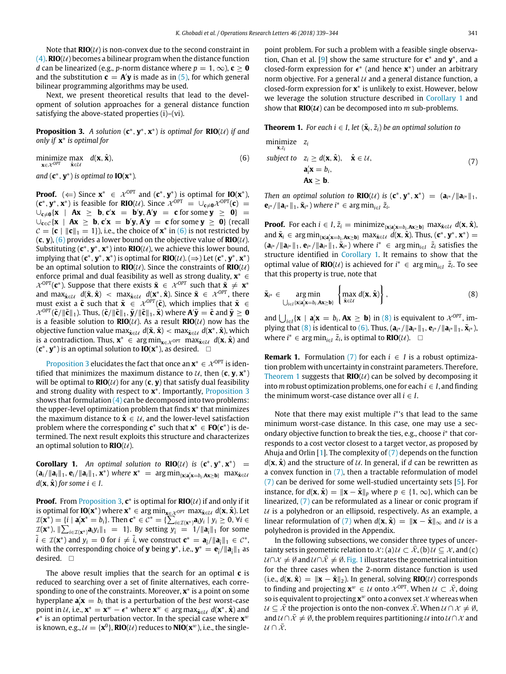Note that  $\text{RIO}(\mathcal{U})$  is non-convex due to the second constraint in  $(4)$ . **RIO** $(\mathcal{U})$  becomes a bilinear program when the distance function *d* can be linearized (e.g., *p*-norm distance where  $p = 1, \infty$ ), **c** ≥ **0** and the substitution  $\mathbf{c} = \mathbf{A}'\mathbf{y}$  is made as in [\(5\),](#page-1-2) for which general bilinear programming algorithms may be used.

Next, we present theoretical results that lead to the development of solution approaches for a general distance function satisfying the above-stated properties (i)–(vi).

<span id="page-2-1"></span>**Proposition 3.** *A solution*  $(c^*, y^*, x^*)$  *is optimal for*  $\text{RIO}(\mathcal{U})$  *if and only if* **x** ∗ *is optimal for*

<span id="page-2-0"></span>minimize max  $d(\mathbf{x}, \hat{\mathbf{x}})$ , (6)<br> $\mathbf{x} \in \mathcal{X}^{OPT}$   $\hat{\mathbf{x}} \in \mathcal{U}$ 

*and*  $(c^*, y^*)$  *is optimal to* **IO**( $x^*$ )*.* 

**Proof.** ( $\Leftarrow$ ) Since  $\mathbf{x}^* \in \mathcal{X}^{\text{OPT}}$  and ( $\mathbf{c}^*, \mathbf{y}^*$ ) is optimal for **IO**( $\mathbf{x}^*$ ),  $(\mathbf{c}^*, \mathbf{y}^*, \mathbf{x}^*)$  is feasible for **RIO**(U). Since  $\chi^{\text{OPT}} = \cup_{\mathbf{c} \neq \mathbf{0}} \chi^{\text{OPT}}(\mathbf{c}) =$  $\bigcup_{c \neq 0}$  {**x** | **Ax** ≥ **b**, **c**<sup>'</sup>**x** = **b**<sup>'</sup>**y**, **A**<sup>'</sup>**y** = **c** for some **y** ≥ **0**} =  $\cup_{\mathbf{c}\in\mathcal{C}}\{\mathbf{x} \mid \mathbf{Ax} \geq \mathbf{b}, \mathbf{c}^{\prime}\mathbf{x} = \mathbf{b}^{\prime}\mathbf{y}, \mathbf{A}^{\prime}\mathbf{y} = \mathbf{c}$  for some  $\mathbf{y} \geq \mathbf{0}\}$  (recall  $C = \{c \mid ||c||_1 = 1\}$ , i.e., the choice of  $\mathbf{x}^*$  in [\(6\)](#page-2-0) is not restricted by  $(c, y)$ ,  $(6)$  provides a lower bound on the objective value of **RIO** $(U)$ . Substituting  $(c^*, y^*, x^*)$  into  $RIO(U)$ , we achieve this lower bound, implying that  $(c^*, y^*, x^*)$  is optimal for  $RIO(\mathcal{U})$ . ( $\Rightarrow$ ) Let  $(c^*, y^*, x^*)$ be an optimal solution to  $\text{RIO}(\mathcal{U})$ . Since the constraints of  $\text{RIO}(\mathcal{U})$ enforce primal and dual feasibility as well as strong duality, **x** <sup>∗</sup> ∈  $\mathcal{X}^{\text{OPT}}(\mathbf{c}^*)$ . Suppose that there exists  $\tilde{\mathbf{x}} \in \mathcal{X}^{\text{OPT}}$  such that  $\tilde{\mathbf{x}} \neq \mathbf{x}^*$ and  $\max_{\hat{\mathbf{x}} \in \mathcal{U}} d(\tilde{\mathbf{x}}, \hat{\mathbf{x}}) < \max_{\hat{\mathbf{x}} \in \mathcal{U}} d(\mathbf{x}^*, \hat{\mathbf{x}})$ . Since  $\tilde{\mathbf{x}} \in \mathcal{X}^{OPT}$ , there must exist a  $\tilde{\mathbf{c}}$  such that  $\tilde{\mathbf{x}} \in \mathcal{X}^{OPT}(\tilde{\mathbf{c}})$ , which implies that  $\tilde{\mathbf{x}} \in$  $\mathcal{X}^{\text{OPT}}(\tilde{\mathbf{c}}/\|\tilde{\mathbf{c}}\|_1)$ . Thus,  $(\tilde{\mathbf{c}}/\|\tilde{\mathbf{c}}\|_1,\tilde{\mathbf{y}}/\|\tilde{\mathbf{c}}\|_1,\tilde{\mathbf{x}})$  where  $\mathbf{A}'\tilde{\mathbf{y}}=\tilde{\mathbf{c}}$  and  $\tilde{\mathbf{y}}\geq \mathbf{0}$ is a feasible solution to  $RIO(\mathcal{U})$ . As a result  $RIO(\mathcal{U})$  now has the objective function value max $_{\hat{\mathbf{x}} \in \mathcal{U}}$  d( $\tilde{\mathbf{x}}, \hat{\mathbf{x}}) <$  max $_{\hat{\mathbf{x}} \in \mathcal{U}}$  d( $\mathbf{x}^* , \hat{\mathbf{x}}$ ), which is a contradiction. Thus,  $\mathbf{x}^*$  ∈ arg min<sub> $\mathbf{x} \in \mathcal{X}$  opt max $\hat{\mathbf{x}} \in \mathcal{U}$  d( $\mathbf{x}, \hat{\mathbf{x}}$ ) and</sub>  $(c^*, y^*)$  is an optimal solution to **IO**( $x^*$ ), as desired. □

[Proposition 3](#page-2-1) elucidates the fact that once an  $\mathbf{x}^* \in \mathcal{X}^\text{OPT}$  is identified that minimizes the maximum distance to  $U$ , then  $(c, y, x^*)$ will be optimal to  $\mathbf{RIO}(\mathcal{U})$  for any  $(c, y)$  that satisfy dual feasibility and strong duality with respect to **x** ∗ . Importantly, [Proposition 3](#page-2-1) shows that formulation  $(4)$  can be decomposed into two problems: the upper-level optimization problem that finds **x** ∗ that minimizes the maximum distance to  $\hat{\mathbf{x}} \in \mathcal{U}$ , and the lower-level satisfaction problem where the corresponding  $c^*$  such that  $x^* \in FO(c^*)$  is determined. The next result exploits this structure and characterizes an optimal solution to  $\mathbf{RIO}(\mathcal{U})$ .

<span id="page-2-2"></span>**Corollary 1.** An optimal solution to  $RIO(\mathcal{U})$  is  $(c^*, y^*, x^*)$  =  $(\mathbf{a}_i/\|\mathbf{a}_i\|_1, \mathbf{e}_i/\|\mathbf{a}_i\|_1, \mathbf{x}^*)$  where  $\mathbf{x}^* = \arg \min_{\{\mathbf{x} | \mathbf{a}_i' \mathbf{x} = b_i, \mathbf{A} \mathbf{x} \geq \mathbf{b}\}} \max_{\hat{\mathbf{x}} \in \mathcal{U}}$  $d(\mathbf{x}, \hat{\mathbf{x}})$  *for some*  $i \in I$ .

**Proof.** From [Proposition 3,](#page-2-1)  $c^*$  is optimal for  $RIO(\mathcal{U})$  if and only if it is optimal for **IO**( $\mathbf{x}^*$ ) where  $\mathbf{x}^* \in \argmin_{\mathbf{x} \in \mathcal{X}} \argmax_{\hat{\mathbf{x}} \in \mathcal{U}} d(\mathbf{x}, \hat{\mathbf{x}})$ . Let  $\mathcal{I}(\mathbf{x}^*) = \{i \mid \mathbf{a}_i' \mathbf{x}^* = b_i\}.$  Then  $\mathbf{c}^* \in \mathcal{C}^* = \{\sum_{i \in \mathcal{I}(\mathbf{x}^*)} a_i y_i \mid y_i \geq 0, \forall i \in \mathcal{C}\}$  $\mathcal{I}(\mathbf{x}^*)$ ,  $\|\sum_{i\in\mathcal{I}(\mathbf{x}^*)}\mathbf{a}_i y_i\|_1 = 1$ . By setting  $y_i = 1/\|\mathbf{a}_i\|_1$  for some  $\tilde{i} \in \mathcal{I}(\mathbf{x}^*)$  and  $y_i = 0$  for  $i \neq \tilde{i}$ , we construct  $\mathbf{c}^* = \mathbf{a}_{\tilde{i}} / ||\mathbf{a}_{\tilde{i}}||_1 \in \mathcal{C}^*$ , with the corresponding choice of **y** being  $\mathbf{y}^*$ , i.e.,  $\mathbf{y}^* = \mathbf{e}_i / ||\mathbf{a}_i||_1$  as desired. □

The above result implies that the search for an optimal **c** is reduced to searching over a set of finite alternatives, each corresponding to one of the constraints. Moreover, **x** ∗ is a point on some hyperplane  $\mathbf{a}'_i \mathbf{x} = b_i$  that is a perturbation of the *best* worst-case point in  $U$ , i.e.,  $\mathbf{x}^* = \mathbf{x}^w - \epsilon^*$  where  $\mathbf{x}^w \in \arg \max_{\hat{\mathbf{x}} \in U} d(\mathbf{x}^*, \hat{\mathbf{x}})$  and  $\epsilon^*$  is an optimal perturbation vector. In the special case where  $\mathbf{x}^w$ is known, e.g.,  $\mathcal{U} = \{ \mathbf{x}^0 \}$ , **RIO**( $\mathcal{U}$ ) reduces to **NIO**( $\mathbf{x}^w$ ), i.e., the singlepoint problem. For such a problem with a feasible single observa-tion, Chan et al. [\[9\]](#page-5-13) show the same structure for **c**<sup>∗</sup> and **y**<sup>\*</sup>, and a closed-form expression for  $\epsilon^*$  (and hence  $\mathbf{x}^*$ ) under an arbitrary norm objective. For a general  $U$  and a general distance function, a closed-form expression for **x** ∗ is unlikely to exist. However, below we leverage the solution structure described in [Corollary 1](#page-2-2) and show that  $\text{RIO}(\mathcal{U})$  can be decomposed into *m* sub-problems.

<span id="page-2-5"></span>**Theorem 1.** *For each i*  $\in$  *I*, *let*  $(\tilde{\mathbf{x}}_i, \tilde{z}_i)$  *be an optimal solution to* 

<span id="page-2-4"></span>minimize 
$$
z_i
$$
  
\nsubject to  $z_i \ge d(\mathbf{x}, \hat{\mathbf{x}}), \quad \hat{\mathbf{x}} \in \mathcal{U},$   
\n $\mathbf{a}_i' \mathbf{x} = b_i,$   
\n $\mathbf{Ax} \ge \mathbf{b}.$  (7)

*Then an optimal solution to*  $\mathbf{RIO}(\mathcal{U})$  *<i>is*  $(\mathbf{c}^*, \mathbf{y}^*, \mathbf{x}^*) = (\mathbf{a}_{i^*}/\|\mathbf{a}_{i^*}\|_1,$  $\mathbf{e}_{i^*}/\|\mathbf{a}_{i^*}\|_1$ ,  $\tilde{\mathbf{x}}_{i^*}$ ) where  $i^* \in \arg \min_{i \in I} \tilde{z}_i$ .

**Proof.** For each  $i \in I$ ,  $\tilde{z}_i = \text{minimize}_{\{\mathbf{x} | \mathbf{a}_i \in \mathbf{x} = b_i, \mathbf{A} \mathbf{x} \geq \mathbf{b}\}}$  max $\tilde{\mathbf{x}} \in \mathcal{U}$   $d(\mathbf{x}, \hat{\mathbf{x}})$ , and  $\tilde{\mathbf{x}}_i \in \arg \min_{\{\mathbf{x} | \mathbf{a}_i' \mathbf{x} = b_i, \mathbf{A} \mathbf{x} \ge \mathbf{b}\}} \max_{\tilde{\mathbf{x}} \in \mathcal{U}} \hat{d}(\mathbf{x}, \hat{\mathbf{x}})$ . Thus,  $(\mathbf{c}^*, \mathbf{y}^*, \mathbf{x}^*) =$  $(\mathbf{a}_{i^*}/\|\mathbf{a}_{i^*}\|_1, \mathbf{e}_{i^*}/\|\mathbf{a}_{i^*}\|_1, \tilde{\mathbf{x}}_{i^*})$  where  $i^* \in \arg \min_{i \in I} \tilde{z}_i$  satisfies the structure identified in [Corollary 1.](#page-2-2) It remains to show that the optimal value of **RIO**( $U$ ) is achieved for  $i^*$  ∈ arg min<sub>i∈*I*</sub>  $\tilde{z}_i$ . To see that this property is true, note that

<span id="page-2-3"></span>
$$
\tilde{\mathbf{x}}_{i^*} \in \underset{\bigcup_{i \in I} \{x | \mathbf{a}_i^{\prime} \mathbf{x} = b_i, \mathbf{A} \mathbf{x} \geq \mathbf{b}\}}{\arg \min} \left\{ \underset{\tilde{\mathbf{x}} \in \mathcal{U}}{\max} d(\mathbf{x}, \hat{\mathbf{x}}) \right\},\tag{8}
$$

and  $\bigcup_{i\in I} {\mathbf{x}} \mid {\mathbf{a}}'_i {\mathbf{x}} = b_i, {\mathbf{A}}{\mathbf{x}} \ge {\mathbf{b}}$  in [\(8\)](#page-2-3) is equivalent to  $\mathcal{X}^{OPT}$ , im-plying that [\(8\)](#page-2-3) is identical to [\(6\).](#page-2-0) Thus,  $(a_{i^*}/\|a_{i^*}\|_1, e_{i^*}/\|a_{i^*}\|_1, \tilde{x}_{i^*})$ where  $i^*$  ∈ arg min<sub>i∈*I*</sub>  $\tilde{z}_i$ , is optimal to **RIO**( $U$ ). □

**Remark 1.** Formulation [\(7\)](#page-2-4) for each  $i \in I$  is a robust optimization problem with uncertainty in constraint parameters. Therefore, [Theorem 1](#page-2-5) suggests that  $RIO(U)$  can be solved by decomposing it into  $m$  robust optimization problems, one for each  $i \in I$ , and finding the minimum worst-case distance over all  $i \in I$ .

Note that there may exist multiple *i*<sup>\*</sup>'s that lead to the same minimum worst-case distance. In this case, one may use a secondary objective function to break the ties, e.g., choose *i*<sup>∗</sup> that corresponds to a cost vector closest to a target vector, as proposed by Ahuja and Orlin [\[1\]](#page-4-3). The complexity of  $(7)$  depends on the function  $d(\mathbf{x}, \hat{\mathbf{x}})$  and the structure of  $U$ . In general, if *d* can be rewritten as a convex function in [\(7\),](#page-2-4) then a tractable reformulation of model [\(7\)](#page-2-4) can be derived for some well-studied uncertainty sets [\[5\]](#page-4-7). For instance, for  $d(\mathbf{x}, \hat{\mathbf{x}}) = ||\mathbf{x} - \hat{\mathbf{x}}||_p$  where  $p \in \{1, \infty\}$ , which can be linearized, [\(7\)](#page-2-4) can be reformulated as a linear or conic program if  $U$  is a polyhedron or an ellipsoid, respectively. As an example, a linear reformulation of [\(7\)](#page-2-4) when  $d(\mathbf{x}, \hat{\mathbf{x}}) = ||\mathbf{x} - \hat{\mathbf{x}}||_{\infty}$  and  $\mathcal{U}$  is a polyhedron is provided in the Appendix.

In the following subsections, we consider three types of uncertainty sets in geometric relation to  $\mathcal{X}$ : (a)  $\mathcal{U} \subset \bar{\mathcal{X}}$ , (b)  $\mathcal{U} \subseteq \mathcal{X}$ , and (c)  $U \cap X \neq \emptyset$  and  $U \cap \bar{X} \neq \emptyset$ . [Fig. 1](#page-3-0) illustrates the geometrical intuition for the three cases when the 2-norm distance function is used  $(i.e., d(x, \hat{x}) = ||x - \hat{x}||_2$ . In general, solving **RIO**( $U$ ) corresponds to finding and projecting  $\mathbf{x}^w \in \mathcal{U}$  onto  $\mathcal{X}^{\text{OPT}}$ . When  $\mathcal{U} \subset \overline{\mathcal{X}}$ , doing so is equivalent to projecting  $\mathbf{x}^w$  onto a convex set  $\mathcal X$  whereas when  $U \subseteq \overline{X}$  the projection is onto the non-convex  $\overline{X}$ . When  $U \cap X \neq \emptyset$ , and  $U \cap \bar{X} \neq \emptyset$ , the problem requires partitioning U into  $U \cap X$  and  $U \cap \bar{X}$ .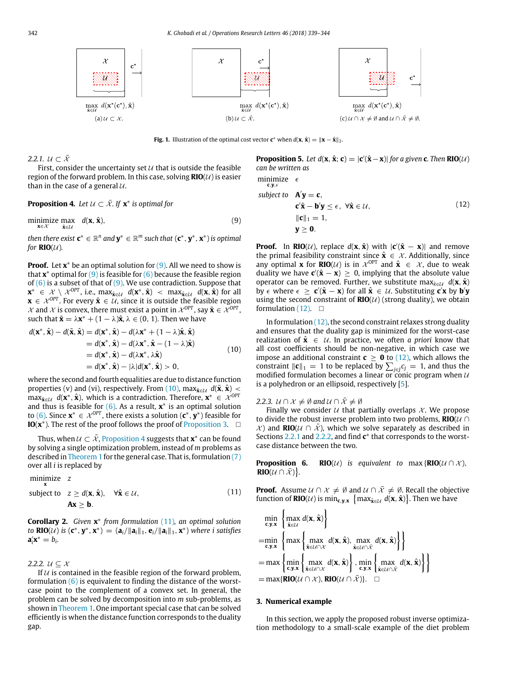<span id="page-3-0"></span>

**Fig. 1.** Illustration of the optimal cost vector  $\mathbf{c}^*$  when  $d(\mathbf{x}, \hat{\mathbf{x}}) = \|\mathbf{x} - \hat{\mathbf{x}}\|_2$ .

<span id="page-3-6"></span>2.2.1.  $U \subset \overline{X}$ 

First, consider the uncertainty set  $U$  that is outside the feasible region of the forward problem. In this case, solving  $RIO(U)$  is easier than in the case of a general  $U$ .

<span id="page-3-3"></span>**Proposition 4.** Let  $U \subset \overline{X}$ . If  $\mathbf{x}^*$  is optimal for

<span id="page-3-1"></span>minimize max  $d(\mathbf{x}, \hat{\mathbf{x}})$ , (9) **x**∈X **x**ˆ∈U

 $a$  *then there exist*  $\mathbf{c}^* \in \mathbb{R}^n$  and  $\mathbf{y}^* \in \mathbb{R}^m$  such that  $(\mathbf{c}^*, \mathbf{y}^*, \mathbf{x}^*)$  is optimal *for*  $RIO(\mathcal{U})$ *.* 

**Proof.** Let **x**<sup>\*</sup> be an optimal solution for [\(9\).](#page-3-1) All we need to show is that **x** <sup>∗</sup> optimal for [\(9\)](#page-3-1) is feasible for [\(6\)](#page-2-0) because the feasible region of  $(6)$  is a subset of that of  $(9)$ . We use contradiction. Suppose that **x**<sup>\*</sup> ∈  $\mathcal{X} \setminus \mathcal{X}^{OPT}$ , i.e., max $\hat{\mathbf{x}} \in \mathcal{U}$   $d(\mathbf{x}^*, \hat{\mathbf{x}})$  < max $\hat{\mathbf{x}} \in \mathcal{U}$   $d(\mathbf{x}, \hat{\mathbf{x}})$  for all  $\mathbf{x} \in \mathcal{X}^{OPT}$ . For every  $\hat{\mathbf{x}} \in \mathcal{U}$ , since it is outside the feasible region  $\mathcal{X}$  and  $\mathcal{X}$  is convex, there must exist a point in  $\mathcal{X}^{OPT}$ , say  $\tilde{\mathbf{x}} \in \mathcal{X}^{OPT}$ , such that  $\tilde{\mathbf{x}} = \lambda \mathbf{x}^* + (1 - \lambda)\hat{\mathbf{x}}, \lambda \in (0, 1)$ . Then we have

<span id="page-3-2"></span>
$$
d(\mathbf{x}^*, \hat{\mathbf{x}}) - d(\tilde{\mathbf{x}}, \hat{\mathbf{x}}) = d(\mathbf{x}^*, \hat{\mathbf{x}}) - d(\lambda \mathbf{x}^* + (1 - \lambda)\hat{\mathbf{x}}, \hat{\mathbf{x}})
$$
  
\n
$$
= d(\mathbf{x}^*, \hat{\mathbf{x}}) - d(\lambda \mathbf{x}^*, \hat{\mathbf{x}} - (1 - \lambda)\hat{\mathbf{x}})
$$
  
\n
$$
= d(\mathbf{x}^*, \hat{\mathbf{x}}) - d(\lambda \mathbf{x}^*, \lambda \hat{\mathbf{x}})
$$
  
\n
$$
= d(\mathbf{x}^*, \hat{\mathbf{x}}) - |\lambda| d(\mathbf{x}^*, \hat{\mathbf{x}}) > 0,
$$
\n(10)

where the second and fourth equalities are due to distance function properties (v) and (vi), respectively. From [\(10\),](#page-3-2) max $_{\hat{x} \in \mathcal{U}} d(\tilde{x}, \hat{x})$  <  $\max_{\hat{\mathbf{x}} \in \mathcal{U}} d(\mathbf{x}^*, \hat{\mathbf{x}})$ , which is a contradiction. Therefore,  $\mathbf{x}^* \in \mathcal{X}^{OPT}$ and thus is feasible for  $(6)$ . As a result,  $\mathbf{x}^*$  is an optimal solution to [\(6\).](#page-2-0) Since  $\mathbf{x}^* \in \mathcal{X}^{OPT}$ , there exists a solution ( $\mathbf{c}^*, \mathbf{y}^*$ ) feasible for **IO(** $\mathbf{x}^*$ **). The rest of the proof follows the proof of [Proposition 3.](#page-2-1) □** 

Thus, when  $\mathcal{U} \subset \bar{\mathcal{X}}$ , [Proposition 4](#page-3-3) suggests that  $\mathbf{x}^*$  can be found by solving a single optimization problem, instead of *m* problems as described in [Theorem 1](#page-2-5) for the general case. That is, formulation [\(7\)](#page-2-4) over all *i* is replaced by

<span id="page-3-4"></span>minimize z  
subject to 
$$
z \ge d(\mathbf{x}, \hat{\mathbf{x}}), \quad \forall \hat{\mathbf{x}} \in \mathcal{U},
$$
  
 $\mathbf{A}\mathbf{x} > \mathbf{b}.$  (11)

**Corollary 2.** *Given* **x** ∗ *from formulation* [\(11\)](#page-3-4)*, an optimal solution to* **RIO**(U) is  $(\mathbf{c}^*, \mathbf{y}^*, \mathbf{x}^*) = (\mathbf{a}_i / \|\mathbf{a}_i\|_1, \mathbf{e}_i / \|\mathbf{a}_i\|_1, \mathbf{x}^*)$  where i satisfies  $\mathbf{a}'_i \mathbf{x}^* = b_i.$ 

<span id="page-3-7"></span>2.2.2.  $U \subseteq \mathcal{X}$ 

If  $U$  is contained in the feasible region of the forward problem, formulation  $(6)$  is equivalent to finding the distance of the worstcase point to the complement of a convex set. In general, the problem can be solved by decomposition into *m* sub-problems, as shown in [Theorem 1.](#page-2-5) One important special case that can be solved efficiently is when the distance function corresponds to the duality gap.

**Proposition 5.** Let  $d(\mathbf{x}, \hat{\mathbf{x}}; \mathbf{c}) = |\mathbf{c}'(\hat{\mathbf{x}} - \mathbf{x})|$  for a given **c**. Then **RIO**(U) *can be written as* minimize  $\epsilon$ 

 $c, y, \in$ 

<span id="page-3-5"></span>subject to 
$$
\mathbf{A}'\mathbf{y} = \mathbf{c}
$$
,  
\n $\mathbf{c}'\hat{\mathbf{x}} - \mathbf{b}'\mathbf{y} \le \epsilon, \ \forall \hat{\mathbf{x}} \in \mathcal{U}$ ,  
\n $\|\mathbf{c}\|_1 = 1$ ,  
\n $\mathbf{y} \ge \mathbf{0}$ . (12)

**Proof.** In **RIO**( $U$ ), replace  $d(\mathbf{x}, \hat{\mathbf{x}})$  with  $|\mathbf{c}'(\hat{\mathbf{x}} - \mathbf{x})|$  and remove the primal feasibility constraint since  $\hat{\mathbf{x}} \in \mathcal{X}$ . Additionally, since any optimal **x** for **RIO**( $\mathcal{U}$ ) is in  $\mathcal{X}^{\text{OPT}}$  and  $\hat{\mathbf{x}} \in \mathcal{X}$ , due to weak duality we have  $\mathbf{c}'(\hat{\mathbf{x}} - \mathbf{x}) \geq 0$ , implying that the absolute value operator can be removed. Further, we substitute max $\hat{x}_{\in \mathcal{U}}$  *d*(**x**,  $\hat{\mathbf{x}}$ )  $\mathbf{b} \times \mathbf{c}$  where  $\epsilon \geq \mathbf{c}'(\hat{\mathbf{x}} - \mathbf{x})$  for all  $\hat{\mathbf{x}} \in \mathcal{U}$ . Substituting  $\mathbf{c}'\mathbf{x}$  by  $\mathbf{b}'\mathbf{y}$ using the second constraint of  $RIO(\mathcal{U})$  (strong duality), we obtain formulation  $(12)$ .  $\square$ 

In formulation  $(12)$ , the second constraint relaxes strong duality and ensures that the duality gap is minimized for the worst-case realization of  $\hat{\mathbf{x}} \in \mathcal{U}$ . In practice, we often *a priori* know that all cost coefficients should be non-negative, in which case we impose an additional constraint  $\mathbf{c} \geq \mathbf{0}$  to [\(12\),](#page-3-5) which allows the constraint  $\|\mathbf{c}\|_1 = 1$  to be replaced by  $\sum_{j \in J} c_j = 1$ , and thus the modified formulation becomes a linear or conic program when  $U$ is a polyhedron or an ellipsoid, respectively [\[5\]](#page-4-7).

*2.2.3.*  $U \cap \mathcal{X} \neq \emptyset$  and  $U \cap \overline{\mathcal{X}} \neq \emptyset$ 

Finally we consider  $U$  that partially overlaps  $X$ . We propose to divide the robust inverse problem into two problems,  $RIO(\mathcal{U} \cap \mathcal{U})$  $\mathcal{X}$ ) and **RIO**( $\mathcal{U}$  ∩  $\bar{\mathcal{X}}$ ), which we solve separately as described in Sections [2.2.1](#page-3-6) and [2.2.2,](#page-3-7) and find **c** ∗ that corresponds to the worstcase distance between the two.

**Proposition 6. RIO**( $U$ ) is equivalent to max { $RIO(U \cap X)$ , **RIO** $(\mathcal{U} \cap \bar{\mathcal{X}})$ .

**Proof.** Assume  $U \cap X \neq \emptyset$  and  $U \cap \overline{X} \neq \emptyset$ . Recall the objective function of **RIO**(U) is  $\min_{\mathbf{c},\mathbf{y},\mathbf{x}} \{ \max_{\hat{\mathbf{x}}\in\mathcal{U}} d(\mathbf{x}, \hat{\mathbf{x}}) \}$ . Then we have

$$
\min_{\mathbf{c},\mathbf{y},\mathbf{x}} \left\{ \max_{\hat{\mathbf{x}} \in \mathcal{U}} d(\mathbf{x}, \hat{\mathbf{x}}) \right\}
$$
\n
$$
= \min_{\mathbf{c},\mathbf{y},\mathbf{x}} \left\{ \max_{\hat{\mathbf{x}} \in \mathcal{U} \cap \mathcal{X}} d(\mathbf{x}, \hat{\mathbf{x}}), \max_{\hat{\mathbf{x}} \in \mathcal{U} \cap \bar{\mathcal{X}}} d(\mathbf{x}, \hat{\mathbf{x}}) \right\} \right\}
$$
\n
$$
= \max \left\{ \min_{\mathbf{c},\mathbf{y},\mathbf{x}} \left\{ \max_{\hat{\mathbf{x}} \in \mathcal{U} \cap \mathcal{X}} d(\mathbf{x}, \hat{\mathbf{x}}) \right\}, \min_{\mathbf{c},\mathbf{y},\mathbf{x}} \left\{ \max_{\hat{\mathbf{x}} \in \mathcal{U} \cap \bar{\mathcal{X}}} d(\mathbf{x}, \hat{\mathbf{x}}) \right\} \right\}
$$
\n
$$
= \max \{ \text{RIO}(U \cap \mathcal{X}), \text{RIO}(U \cap \bar{\mathcal{X}}) \}.
$$

#### **3. Numerical example**

In this section, we apply the proposed robust inverse optimization methodology to a small-scale example of the diet problem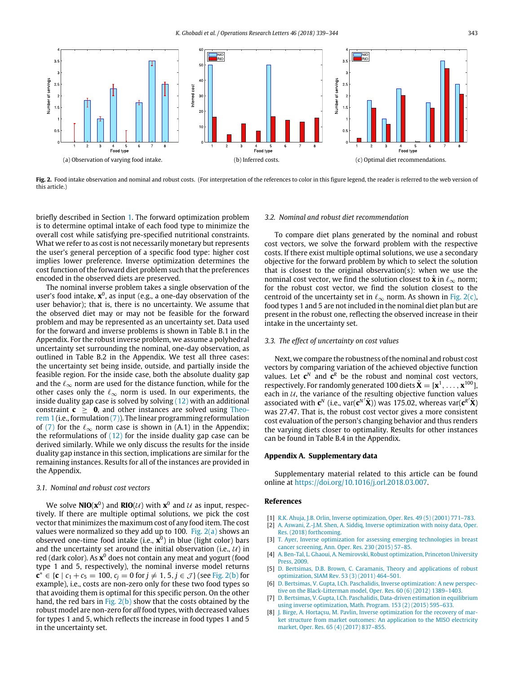<span id="page-4-8"></span>

Fig. 2. Food intake observation and nominal and robust costs. (For interpretation of the references to color in this figure legend, the reader is referred to the web version of this article.)

briefly described in Section [1.](#page-0-6) The forward optimization problem is to determine optimal intake of each food type to minimize the overall cost while satisfying pre-specified nutritional constraints. What we refer to as cost is not necessarily monetary but represents the user's general perception of a specific food type: higher cost implies lower preference. Inverse optimization determines the cost function of the forward diet problem such that the preferences encoded in the observed diets are preserved.

The nominal inverse problem takes a single observation of the user's food intake, **x**<sup>0</sup>, as input (e.g., a one-day observation of the user behavior); that is, there is no uncertainty. We assume that the observed diet may or may not be feasible for the forward problem and may be represented as an uncertainty set. Data used for the forward and inverse problems is shown in Table B.1 in the Appendix. For the robust inverse problem, we assume a polyhedral uncertainty set surrounding the nominal, one-day observation, as outlined in Table B.2 in the Appendix. We test all three cases: the uncertainty set being inside, outside, and partially inside the feasible region. For the inside case, both the absolute duality gap and the  $\ell_{\infty}$  norm are used for the distance function, while for the other cases only the  $\ell_{\infty}$  norm is used. In our experiments, the inside duality gap case is solved by solving  $(12)$  with an additional [c](#page-2-5)onstraint  $c \ge 0$ , and other instances are solved using [Theo](#page-2-5)[rem 1](#page-2-5) (i.e., formulation  $(7)$ ). The linear programming reformulation of [\(7\)](#page-2-4) for the  $\ell_{\infty}$  norm case is shown in (A.1) in the Appendix; the reformulations of  $(12)$  for the inside duality gap case can be derived similarly. While we only discuss the results for the inside duality gap instance in this section, implications are similar for the remaining instances. Results for all of the instances are provided in the Appendix.

#### *3.1. Nominal and robust cost vectors*

We solve  $\text{NIO}(\textbf{x}^0)$  and  $\text{RIO}(\mathcal{U})$  with  $\textbf{x}^0$  and  $\mathcal{U}$  as input, respectively. If there are multiple optimal solutions, we pick the cost vector that minimizes the maximum cost of any food item. The cost values were normalized so they add up to 100. Fig.  $2(a)$  shows an observed one-time food intake (i.e., **x** 0 ) in blue (light color) bars and the uncertainty set around the initial observation (i.e.,  $U$ ) in red (dark color). As **x** <sup>0</sup> does not contain any meat and yogurt (food type 1 and 5, respectively), the nominal inverse model returns **c**<sup>∗</sup> ∈ {**c** |  $c_1 + c_5 = 100$ ,  $c_j = 0$  for  $j ≠ 1, 5, j ∈ \mathcal{J}$ } (see [Fig. 2\(b\)](#page-4-9) for example), i.e., costs are non-zero only for these two food types so that avoiding them is optimal for this specific person. On the other hand, the red bars in Fig.  $2(b)$  show that the costs obtained by the robust model are non-zero for *all* food types, with decreased values for types 1 and 5, which reflects the increase in food types 1 and 5 in the uncertainty set.

#### <span id="page-4-10"></span><span id="page-4-9"></span>*3.2. Nominal and robust diet recommendation*

To compare diet plans generated by the nominal and robust cost vectors, we solve the forward problem with the respective costs. If there exist multiple optimal solutions, we use a secondary objective for the forward problem by which to select the solution that is closest to the original observation(s): when we use the nominal cost vector, we find the solution closest to  $\hat{\mathbf{x}}$  in  $\ell_{\infty}$  norm; for the robust cost vector, we find the solution closest to the centroid of the uncertainty set in  $\ell_{\infty}$  norm. As shown in [Fig. 2\(c\),](#page-4-10) food types 1 and 5 are not included in the nominal diet plan but are present in the robust one, reflecting the observed increase in their intake in the uncertainty set.

#### *3.3. The effect of uncertainty on cost values*

Next, we compare the robustness of the nominal and robust cost vectors by comparing variation of the achieved objective function values. Let  $c^N$  and  $c^R$  be the robust and nominal cost vectors, respectively. For randomly generated 100 diets  $\tilde{\mathbf{X}} = [\mathbf{x}^1, \dots, \mathbf{x}^{100}]$ each in  $U$ , the variance of the resulting objective function values associated with  $\mathbf{c}^N$  (i.e.,  $\text{var}(\mathbf{c}^{N'}\tilde{\mathbf{X}})$ ) was 175.02, whereas  $\text{var}(\mathbf{c}^{R'}\tilde{\mathbf{X}})$ was 27.47. That is, the robust cost vector gives a more consistent cost evaluation of the person's changing behavior and thus renders the varying diets closer to optimality. Results for other instances can be found in Table B.4 in the Appendix.

#### **Appendix A. Supplementary data**

Supplementary material related to this article can be found online at [https://doi.org/10.1016/j.orl.2018.03.007.](https://doi.org/10.1016/j.orl.2018.03.007)

#### **References**

- <span id="page-4-3"></span>[1] [R.K. Ahuja, J.B. Orlin, Inverse optimization, Oper. Res. 49 \(5\) \(2001\) 771–783.](http://refhub.elsevier.com/S0167-6377(17)30565-5/sb1)
- <span id="page-4-5"></span>[2] [A. Aswani, Z.-J.M. Shen, A. Siddiq, Inverse optimization with noisy data, Oper.](http://refhub.elsevier.com/S0167-6377(17)30565-5/sb2) [Res. \(2018\) forthcoming.](http://refhub.elsevier.com/S0167-6377(17)30565-5/sb2)
- <span id="page-4-2"></span>[3] [T. Ayer, Inverse optimization for assessing emerging technologies in breast](http://refhub.elsevier.com/S0167-6377(17)30565-5/sb3) [cancer screening, Ann. Oper. Res. 230 \(2015\) 57–85.](http://refhub.elsevier.com/S0167-6377(17)30565-5/sb3)
- <span id="page-4-6"></span>[4] [A. Ben-Tal, L. Ghaoui, A. Nemirovski, Robust optimization, Princeton University](http://refhub.elsevier.com/S0167-6377(17)30565-5/sb4) [Press, 2009.](http://refhub.elsevier.com/S0167-6377(17)30565-5/sb4)
- <span id="page-4-7"></span>[5] [D. Bertsimas, D.B. Brown, C. Caramanis, Theory and applications of robust](http://refhub.elsevier.com/S0167-6377(17)30565-5/sb5) [optimization, SIAM Rev. 53 \(3\) \(2011\) 464–501.](http://refhub.elsevier.com/S0167-6377(17)30565-5/sb5)
- <span id="page-4-0"></span>[6] [D. Bertsimas, V. Gupta, I.Ch. Paschalidis, Inverse optimization: A new perspec](http://refhub.elsevier.com/S0167-6377(17)30565-5/sb6)[tive on the Black-Litterman model, Oper. Res. 60 \(6\) \(2012\) 1389–1403.](http://refhub.elsevier.com/S0167-6377(17)30565-5/sb6)
- <span id="page-4-4"></span>[7] [D. Bertsimas, V. Gupta, I.Ch. Paschalidis, Data-driven estimation in equilibrium](http://refhub.elsevier.com/S0167-6377(17)30565-5/sb7) [using inverse optimization, Math. Program. 153 \(2\) \(2015\) 595–633.](http://refhub.elsevier.com/S0167-6377(17)30565-5/sb7)
- <span id="page-4-1"></span>[8] [J. Birge, A. Hortaçsu, M. Pavlin, Inverse optimization for the recovery of mar](http://refhub.elsevier.com/S0167-6377(17)30565-5/sb8)[ket structure from market outcomes: An application to the MISO electricity](http://refhub.elsevier.com/S0167-6377(17)30565-5/sb8) [market, Oper. Res. 65 \(4\) \(2017\) 837–855.](http://refhub.elsevier.com/S0167-6377(17)30565-5/sb8)